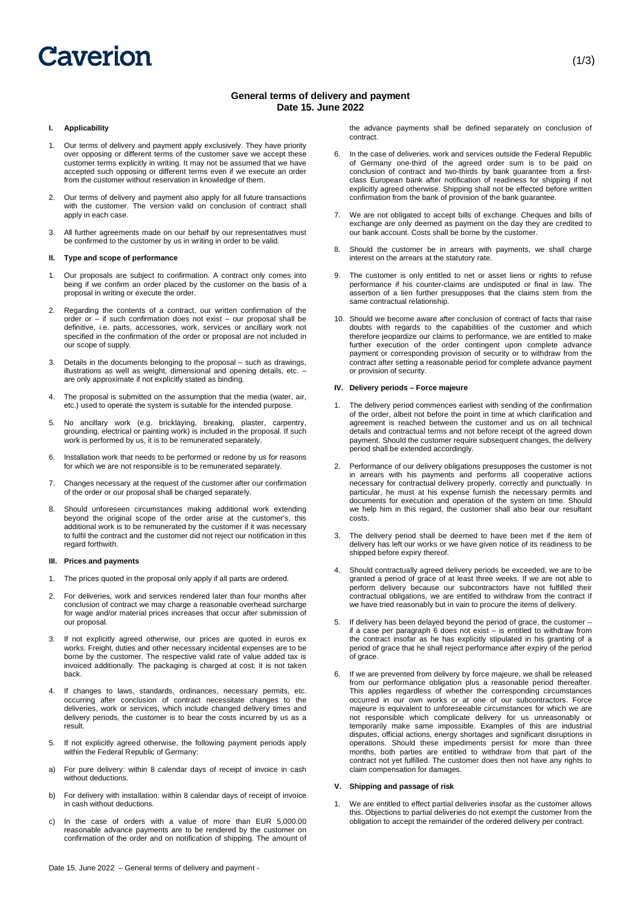# Caverion

# **General terms of delivery and payment Date 15. June 2022**

# **I. Applicability**

- 1. Our terms of delivery and payment apply exclusively. They have priority over opposing or different terms of the customer save we accept these customer terms explicitly in writing. It may not be assumed that we have accepted such opposing or different terms even if we execute an order from the customer without reservation in knowledge of them.
- 2. Our terms of delivery and payment also apply for all future transactions with the customer. The version valid on conclusion of contract shall apply in each case.
- 3. All further agreements made on our behalf by our representatives must be confirmed to the customer by us in writing in order to be valid.

#### **II. Type and scope of performance**

- 1. Our proposals are subject to confirmation. A contract only comes into being if we confirm an order placed by the customer on the basis of a proposal in writing or execute the order.
- 2. Regarding the contents of a contract, our written confirmation of the order or – if such confirmation does not exist – our proposal shall be definitive, i.e. parts, accessories, work, services or ancillary work not specified in the confirmation of the order or proposal are not included in our scope of supply.
- 3. Details in the documents belonging to the proposal such as drawings, illustrations as well as weight, dimensional and opening details, etc. – are only approximate if not explicitly stated as binding.
- 4. The proposal is submitted on the assumption that the media (water, air, etc.) used to operate the system is suitable for the intended purpose.
- 5. No ancillary work (e.g. bricklaying, breaking, plaster, carpentry, grounding, electrical or painting work) is included in the proposal. If such work is performed by us, it is to be remunerated separately.
- 6. Installation work that needs to be performed or redone by us for reasons for which we are not responsible is to be remunerated separately.
- 7. Changes necessary at the request of the customer after our confirmation of the order or our proposal shall be charged separately.
- 8. Should unforeseen circumstances making additional work extending beyond the original scope of the order arise at the customer's, this additional work is to be remunerated by the customer if it was necessary to fulfil the contract and the customer did not reject our notification in this regard forthwith.

### **III. Prices and payments**

- 1. The prices quoted in the proposal only apply if all parts are ordered.
- 2. For deliveries, work and services rendered later than four months after conclusion of contract we may charge a reasonable overhead surcharge for wage and/or material prices increases that occur after submission of our proposal.
- 3. If not explicitly agreed otherwise, our prices are quoted in euros ex works. Freight, duties and other necessary incidental expenses are to be borne by the customer. The respective valid rate of value added tax is invoiced additionally. The packaging is charged at cost; it is not taken back.
- 4. If changes to laws, standards, ordinances, necessary permits, etc. occurring after conclusion of contract necessitate changes to the deliveries, work or services, which include changed delivery times and delivery periods, the customer is to bear the costs incurred by us as a result.
- 5. If not explicitly agreed otherwise, the following payment periods apply within the Federal Republic of Germany:
- a) For pure delivery: within 8 calendar days of receipt of invoice in cash without deductions.
- b) For delivery with installation: within 8 calendar days of receipt of invoice in cash without deductions.
- c) In the case of orders with a value of more than EUR 5,000.00 reasonable advance payments are to be rendered by the customer on confirmation of the order and on notification of shipping. The amount of

the advance payments shall be defined separately on conclusion of contract.

- 6. In the case of deliveries, work and services outside the Federal Republic of Germany one-third of the agreed order sum is to be paid on conclusion of contract and two-thirds by bank guarantee from a firstclass European bank after notification of readiness for shipping if not explicitly agreed otherwise. Shipping shall not be effected before written confirmation from the bank of provision of the bank guarantee.
- 7. We are not obligated to accept bills of exchange. Cheques and bills of exchange are only deemed as payment on the day they are credited to our bank account. Costs shall be borne by the customer.
- 8. Should the customer be in arrears with payments, we shall charge interest on the arrears at the statutory rate.
- 9. The customer is only entitled to net or asset liens or rights to refuse performance if his counter-claims are undisputed or final in law. The assertion of a lien further presupposes that the claims stem from the same contractual relationship.
- 10. Should we become aware after conclusion of contract of facts that raise doubts with regards to the capabilities of the customer and which therefore jeopardize our claims to performance, we are entitled to make further execution of the order contingent upon complete advance payment or corresponding provision of security or to withdraw from the contract after setting a reasonable period for complete advance payment or provision of security.

#### **IV. Delivery periods – Force majeure**

- 1. The delivery period commences earliest with sending of the confirmation of the order, albeit not before the point in time at which clarification and agreement is reached between the customer and us on all technical details and contractual terms and not before receipt of the agreed down payment. Should the customer require subsequent changes, the delivery period shall be extended accordingly.
- 2. Performance of our delivery obligations presupposes the customer is not in arrears with his payments and performs all cooperative actions necessary for contractual delivery properly, correctly and punctually. In particular, he must at his expense furnish the necessary permits and documents for execution and operation of the system on time. Should we help him in this regard, the customer shall also bear our resultant costs.
- 3. The delivery period shall be deemed to have been met if the item of delivery has left our works or we have given notice of its readiness to be shipped before expiry thereof.
- 4. Should contractually agreed delivery periods be exceeded, we are to be granted a period of grace of at least three weeks. If we are not able to perform delivery because our subcontractors have not fulfilled their contractual obligations, we are entitled to withdraw from the contract if we have tried reasonably but in vain to procure the items of delivery.
- 5. If delivery has been delayed beyond the period of grace, the customer if a case per paragraph 6 does not exist – is entitled to withdraw from the contract insofar as he has explicitly stipulated in his granting of a period of grace that he shall reject performance after expiry of the period of grace.
- If we are prevented from delivery by force majeure, we shall be released from our performance obligation plus a reasonable period thereafter. This applies regardless of whether the corresponding circumstances occurred in our own works or at one of our subcontractors. Force majeure is equivalent to unforeseeable circumstances for which we are not responsible which complicate delivery for us unreasonably or temporarily make same impossible. Examples of this are industrial disputes, official actions, energy shortages and significant disruptions in operations. Should these impediments persist for more than three months, both parties are entitled to withdraw from that part of the contract not yet fulfilled. The customer does then not have any rights to claim compensation for damages.

### **V. Shipping and passage of risk**

1. We are entitled to effect partial deliveries insofar as the customer allows this. Objections to partial deliveries do not exempt the customer from the obligation to accept the remainder of the ordered delivery per contract.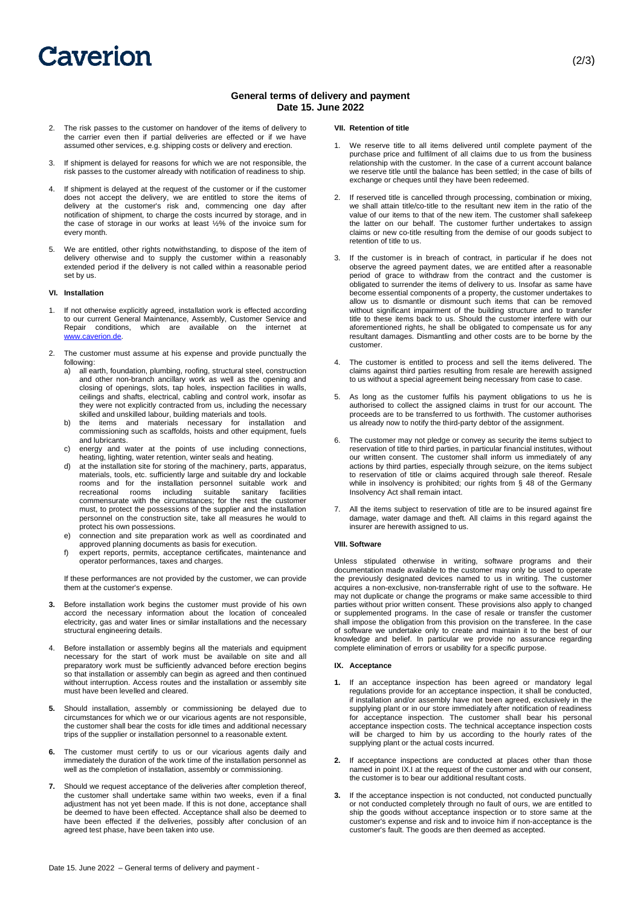# Caverion

# **General terms of delivery and payment Date 15. June 2022**

- 2. The risk passes to the customer on handover of the items of delivery to the carrier even then if partial deliveries are effected or if we have assumed other services, e.g. shipping costs or delivery and erection.
- 3. If shipment is delayed for reasons for which we are not responsible, the risk passes to the customer already with notification of readiness to ship.
- 4. If shipment is delayed at the request of the customer or if the customer does not accept the delivery, we are entitled to store the items of delivery at the customer's risk and, commencing one day after notification of shipment, to charge the costs incurred by storage, and in the case of storage in our works at least ½% of the invoice sum for every month.
- 5. We are entitled, other rights notwithstanding, to dispose of the item of delivery otherwise and to supply the customer within a reasonably extended period if the delivery is not called within a reasonable period set by us.

# **VI. Installation**

- 1. If not otherwise explicitly agreed, installation work is effected according to our current General Maintenance, Assembly, Customer Service and Repair conditions, which are available on the internet at www.caverion.de.
- 2. The customer must assume at his expense and provide punctually the following:
	- a) all earth, foundation, plumbing, roofing, structural steel, construction and other non-branch ancillary work as well as the opening and closing of openings, slots, tap holes, inspection facilities in walls, ceilings and shafts, electrical, cabling and control work, insofar as they were not explicitly contracted from us, including the necessary skilled and unskilled labour, building materials and tools.
	- b) the items and materials necessary for installation and commissioning such as scaffolds, hoists and other equipment, fuels and lubricants.
	- c) energy and water at the points of use including connections, heating, lighting, water retention, winter seals and heating.
	- d) at the installation site for storing of the machinery, parts, apparatus, materials, tools, etc. sufficiently large and suitable dry and lockable rooms and for the installation personnel suitable work and recreational rooms including suitable sanitary facilities commensurate with the circumstances; for the rest the customer must, to protect the possessions of the supplier and the installation personnel on the construction site, take all measures he would to protect his own possessions.
	- e) connection and site preparation work as well as coordinated and approved planning documents as basis for execution.
	- f) expert reports, permits, acceptance certificates, maintenance and operator performances, taxes and charges.

If these performances are not provided by the customer, we can provide them at the customer's expense.

- **3.** Before installation work begins the customer must provide of his own accord the necessary information about the location of concealed electricity, gas and water lines or similar installations and the necessary structural engineering details.
- 4. Before installation or assembly begins all the materials and equipment necessary for the start of work must be available on site and all preparatory work must be sufficiently advanced before erection begins so that installation or assembly can begin as agreed and then continued without interruption. Access routes and the installation or assembly site must have been levelled and cleared.
- **5.** Should installation, assembly or commissioning be delayed due to circumstances for which we or our vicarious agents are not responsible, the customer shall bear the costs for idle times and additional necessary trips of the supplier or installation personnel to a reasonable extent.
- The customer must certify to us or our vicarious agents daily and immediately the duration of the work time of the installation personnel as well as the completion of installation, assembly or commissioning.
- **7.** Should we request acceptance of the deliveries after completion thereof the customer shall undertake same within two weeks, even if a final adjustment has not yet been made. If this is not done, acceptance shall be deemed to have been effected. Acceptance shall also be deemed to have been effected if the deliveries, possibly after conclusion of an agreed test phase, have been taken into use.

## **VII. Retention of title**

- 1. We reserve title to all items delivered until complete payment of the purchase price and fulfilment of all claims due to us from the business relationship with the customer. In the case of a current account balance we reserve title until the balance has been settled; in the case of bills of exchange or cheques until they have been redeemed.
- 2. If reserved title is cancelled through processing, combination or mixing, we shall attain title/co-title to the resultant new item in the ratio of the value of our items to that of the new item. The customer shall safekeep the latter on our behalf. The customer further undertakes to assign claims or new co-title resulting from the demise of our goods subject to retention of title to us.
- 3. If the customer is in breach of contract, in particular if he does not observe the agreed payment dates, we are entitled after a reasonable period of grace to withdraw from the contract and the customer is obligated to surrender the items of delivery to us. Insofar as same have become essential components of a property, the customer undertakes to allow us to dismantle or dismount such items that can be removed without significant impairment of the building structure and to transfer title to these items back to us. Should the customer interfere with our aforementioned rights, he shall be obligated to compensate us for any resultant damages. Dismantling and other costs are to be borne by the customer.
- 4. The customer is entitled to process and sell the items delivered. The claims against third parties resulting from resale are herewith assigned to us without a special agreement being necessary from case to case
- 5. As long as the customer fulfils his payment obligations to us he is authorised to collect the assigned claims in trust for our account. The proceeds are to be transferred to us forthwith. The customer authorises us already now to notify the third-party debtor of the assignment.
- 6. The customer may not pledge or convey as security the items subject to reservation of title to third parties, in particular financial institutes, without our written consent. The customer shall inform us immediately of any actions by third parties, especially through seizure, on the items subject to reservation of title or claims acquired through sale thereof. Resale while in insolvency is prohibited; our rights from § 48 of the Germany Insolvency Act shall remain intact.
- 7. All the items subject to reservation of title are to be insured against fire damage, water damage and theft. All claims in this regard against the insurer are herewith assigned to us.

#### **VIII. Software**

Unless stipulated otherwise in writing, software programs and their documentation made available to the customer may only be used to operate the previously designated devices named to us in writing. The customer acquires a non-exclusive, non-transferrable right of use to the software. He may not duplicate or change the programs or make same accessible to third parties without prior written consent. These provisions also apply to changed or supplemented programs. In the case of resale or transfer the customer shall impose the obligation from this provision on the transferee. In the case of software we undertake only to create and maintain it to the best of our knowledge and belief. In particular we provide no assurance regarding complete elimination of errors or usability for a specific purpose.

#### **IX. Acceptance**

- **1.** If an acceptance inspection has been agreed or mandatory legal regulations provide for an acceptance inspection, it shall be conducted, if installation and/or assembly have not been agreed, exclusively in the supplying plant or in our store immediately after notification of readiness for acceptance inspection. The customer shall bear his personal acceptance inspection costs. The technical acceptance inspection costs will be charged to him by us according to the hourly rates of the supplying plant or the actual costs incurred.
- **2.** If acceptance inspections are conducted at places other than those named in point IX.I at the request of the customer and with our consent, the customer is to bear our additional resultant costs.
- **3.** If the acceptance inspection is not conducted, not conducted punctually or not conducted completely through no fault of ours, we are entitled to ship the goods without acceptance inspection or to store same at the customer's expense and risk and to invoice him if non-acceptance is the customer's fault. The goods are then deemed as accepted.